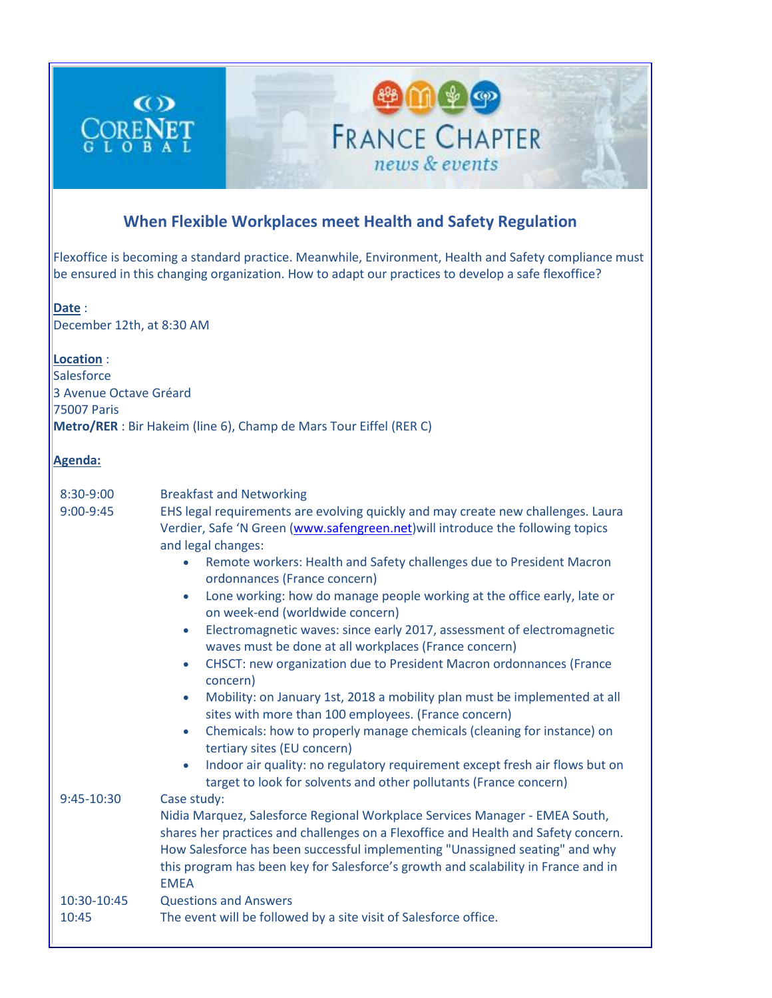## $\omega$ CORENET

## **When Flexible Workplaces meet Health and Safety Regulation**

தியிருக்கு

**FRANCE CHAPTER** 

news & events

Flexoffice is becoming a standard practice. Meanwhile, Environment, Health and Safety compliance must be ensured in this changing organization. How to adapt our practices to develop a safe flexoffice?

**Date** : December 12th, at 8:30 AM

**Location** : **Salesforce** 3 Avenue Octave Gréard 75007 Paris **Metro/RER** : Bir Hakeim (line 6), Champ de Mars Tour Eiffel (RER C)

## **Agenda:**

| 8:30-9:00<br>9:00-9:45 | <b>Breakfast and Networking</b><br>EHS legal requirements are evolving quickly and may create new challenges. Laura<br>Verdier, Safe 'N Green (www.safengreen.net) will introduce the following topics<br>and legal changes:<br>Remote workers: Health and Safety challenges due to President Macron<br>$\bullet$<br>ordonnances (France concern)<br>Lone working: how do manage people working at the office early, late or<br>۰<br>on week-end (worldwide concern)<br>Electromagnetic waves: since early 2017, assessment of electromagnetic<br>$\bullet$<br>waves must be done at all workplaces (France concern)<br>CHSCT: new organization due to President Macron ordonnances (France<br>concern)<br>Mobility: on January 1st, 2018 a mobility plan must be implemented at all<br>sites with more than 100 employees. (France concern)<br>Chemicals: how to properly manage chemicals (cleaning for instance) on<br>$\bullet$<br>tertiary sites (EU concern)<br>Indoor air quality: no regulatory requirement except fresh air flows but on<br>$\bullet$<br>target to look for solvents and other pollutants (France concern) |
|------------------------|-------------------------------------------------------------------------------------------------------------------------------------------------------------------------------------------------------------------------------------------------------------------------------------------------------------------------------------------------------------------------------------------------------------------------------------------------------------------------------------------------------------------------------------------------------------------------------------------------------------------------------------------------------------------------------------------------------------------------------------------------------------------------------------------------------------------------------------------------------------------------------------------------------------------------------------------------------------------------------------------------------------------------------------------------------------------------------------------------------------------------------------|
| 9:45-10:30             | Case study:<br>Nidia Marquez, Salesforce Regional Workplace Services Manager - EMEA South,<br>shares her practices and challenges on a Flexoffice and Health and Safety concern.<br>How Salesforce has been successful implementing "Unassigned seating" and why<br>this program has been key for Salesforce's growth and scalability in France and in<br><b>EMEA</b>                                                                                                                                                                                                                                                                                                                                                                                                                                                                                                                                                                                                                                                                                                                                                               |
| 10:30-10:45<br>10:45   | <b>Questions and Answers</b><br>The event will be followed by a site visit of Salesforce office.                                                                                                                                                                                                                                                                                                                                                                                                                                                                                                                                                                                                                                                                                                                                                                                                                                                                                                                                                                                                                                    |